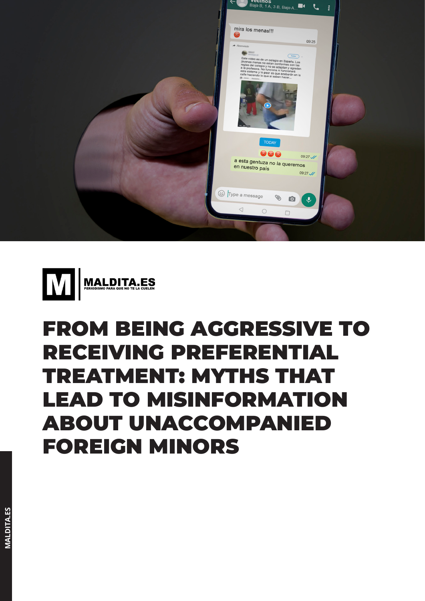



# FROM BEING AGGRESSIVE TO RECEIVING PREFERENTIAL TREATMENT: MYTHS THAT LEAD TO MISINFORMATION ABOUT UNACCOMPANIED FOREIGN MINORS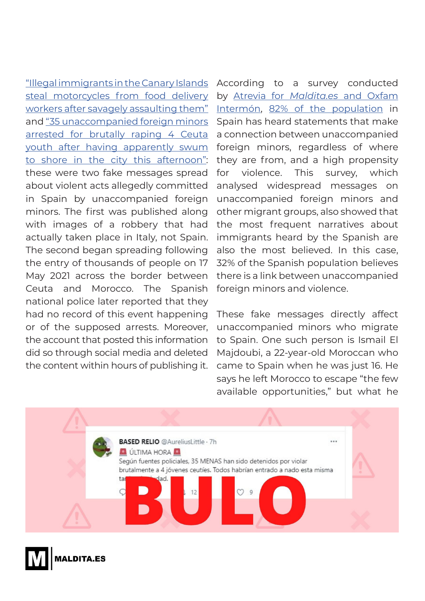["Illegal immigrants in the Canary Islands](https://maldita.es/malditobulo/20210105/video-menas-robando-moto-repartidor-glovo-barcelona/)  [steal motorcycles from food delivery](https://maldita.es/malditobulo/20210105/video-menas-robando-moto-repartidor-glovo-barcelona/)  [workers after savagely assaulting them"](https://maldita.es/malditobulo/20210105/video-menas-robando-moto-repartidor-glovo-barcelona/) and ["35 unaccompanied foreign minors](https://maldita.es/malditobulo/20210518/35-menas-violan-jovenes-ceuta/)  arrested for brutally raping 4 Ceuta [youth after having apparently swum](https://maldita.es/malditobulo/20210518/35-menas-violan-jovenes-ceuta/)  [to shore in the city this afternoon":](https://maldita.es/malditobulo/20210518/35-menas-violan-jovenes-ceuta/) these were two fake messages spread about violent acts allegedly committed in Spain by unaccompanied foreign minors. The first was published along with images of a robbery that had actually taken place in Italy, not Spain. The second began spreading following the entry of thousands of people on 17 May 2021 across the border between Ceuta and Morocco. The Spanish national police later reported that they had no record of this event happening or of the supposed arrests. Moreover, the account that posted this information did so through social media and deleted the content within hours of publishing it.

According to a survey conducted by Atrevia for *Maldita.es* [and Oxfam](https://maldita.es/uploads/public/docs/barometro_desinformacion_parte_2.pdf) [Intermón](https://maldita.es/uploads/public/docs/barometro_desinformacion_parte_2.pdf), [82% of the population](https://maldita.es/uploads/public/docs/barometro_desinformacion_parte_2.pdf) in Spain has heard statements that make a connection between unaccompanied foreign minors, regardless of where they are from, and a high propensity for violence. This survey, which analysed widespread messages on unaccompanied foreign minors and other migrant groups, also showed that the most frequent narratives about immigrants heard by the Spanish are also the most believed. In this case, 32% of the Spanish population believes there is a link between unaccompanied foreign minors and violence.

These fake messages directly affect unaccompanied minors who migrate to Spain. One such person is Ismail El Majdoubi, a 22-year-old Moroccan who came to Spain when he was just 16. He says he left Morocco to escape "the few available opportunities," but what he



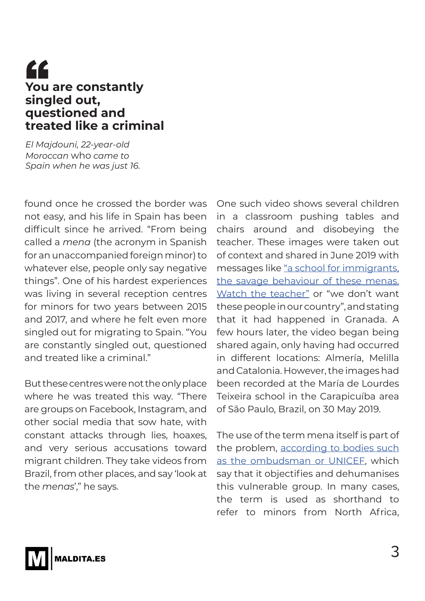#### **You are constantly singled out, questioned and treated like a criminal** "

*El Majdouni, 22-year-old Moroccan* who *came to Spain when he was just 16.*

found once he crossed the border was not easy, and his life in Spain has been difficult since he arrived. "From being called a *mena* (the acronym in Spanish for an unaccompanied foreign minor) to whatever else, people only say negative things". One of his hardest experiences was living in several reception centres for minors for two years between 2015 and 2017, and where he felt even more singled out for migrating to Spain. "You are constantly singled out, questioned and treated like a criminal."

But these centres were not the only place where he was treated this way. "There are groups on Facebook, Instagram, and other social media that sow hate, with constant attacks through lies, hoaxes, and very serious accusations toward migrant children. They take videos from Brazil, from other places, and say 'look at the *menas*'," he says.

One such video shows several children in a classroom pushing tables and chairs around and disobeying the teacher. These images were taken out of context and shared in June 2019 with messages like ["a school for immigrants,](https://archive.is/3WI0b) [the savage behaviour of these menas.](https://archive.is/3WI0b) [Watch the teacher"](https://archive.is/3WI0b) or "we don't want these people in our country", and stating that it had happened in Granada. A few hours later, the video began being shared again, only having had occurred in different locations: Almería, Melilla and Catalonia. However, the images had been recorded at the María de Lourdes Teixeira school in the Carapicuíba area of São Paulo, Brazil, on 30 May 2019.

The use of the term mena itself is part of the problem, [according to bodies such](https://migracion.maldita.es/articulos/tenemos-que-dejar-de-llamar-mena-a-los-ninos-y-adolescentes-extranjeros-que-llegan-solos-a-espana/) [as the ombudsman or UNICEF](https://migracion.maldita.es/articulos/tenemos-que-dejar-de-llamar-mena-a-los-ninos-y-adolescentes-extranjeros-que-llegan-solos-a-espana/), which say that it objectifies and dehumanises this vulnerable group. In many cases, the term is used as shorthand to refer to minors from North Africa,

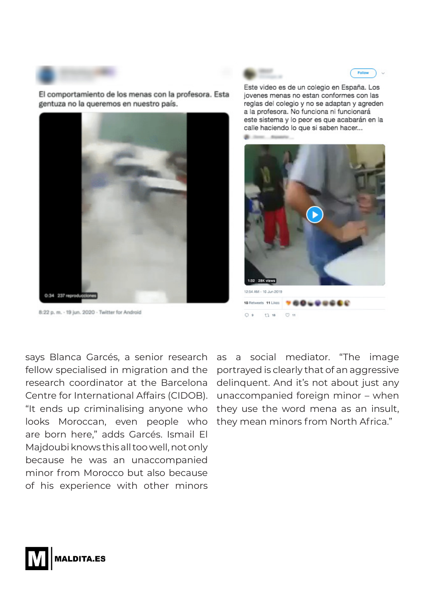El comportamiento de los menas con la profesora. Esta gentuza no la queremos en nuestro país.



8:22 p. m. - 19 jun. 2020 - Twitter for Android

Este video es de un colegio en España. Los jovenes menas no estan conformes con las reglas del colegio y no se adaptan y agreden a la profesora. No funciona ni funcionará este sistema y lo peor es que acabarán en la calle haciendo lo que si saben hacer...



says Blanca Garcés, a senior research fellow specialised in migration and the research coordinator at the Barcelona Centre for International Affairs (CIDOB). "It ends up criminalising anyone who looks Moroccan, even people who are born here," adds Garcés. Ismail El Majdoubi knows this all too well, not only because he was an unaccompanied minor from Morocco but also because of his experience with other minors

as a social mediator. "The image portrayed is clearly that of an aggressive delinquent. And it's not about just any unaccompanied foreign minor – when they use the word mena as an insult, they mean minors from North Africa."

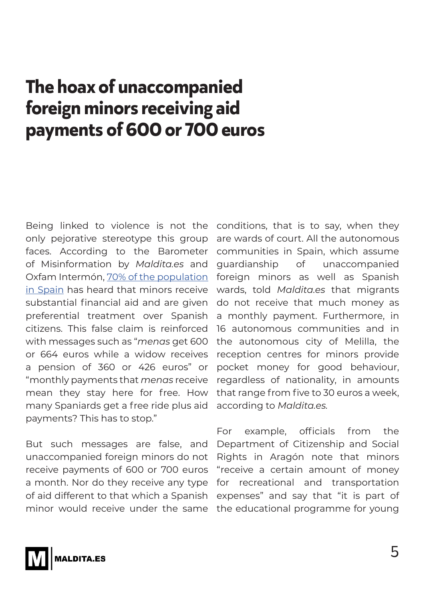## **The hoax of unaccompanied foreign minors receiving aid payments of 600 or 700 euros**

Being linked to violence is not the only pejorative stereotype this group faces. According to the Barometer of Misinformation by *Maldita.es* and Oxfam Intermón, [70% of the population](https://maldita.es/uploads/public/docs/barometro_desinformacion_parte_2.pdf)  [in Spain](https://maldita.es/uploads/public/docs/barometro_desinformacion_parte_2.pdf) has heard that minors receive substantial financial aid and are given preferential treatment over Spanish citizens. This false claim is reinforced with messages such as "*menas* get 600 or 664 euros while a widow receives a pension of 360 or 426 euros" or "monthly payments that *menas* receive mean they stay here for free. How many Spaniards get a free ride plus aid payments? This has to stop."

But such messages are false, and unaccompanied foreign minors do not receive payments of 600 or 700 euros a month. Nor do they receive any type of aid different to that which a Spanish minor would receive under the same conditions, that is to say, when they are wards of court. All the autonomous communities in Spain, which assume guardianship of unaccompanied foreign minors as well as Spanish wards, told *Maldita.es* that migrants do not receive that much money as a monthly payment. Furthermore, in 16 autonomous communities and in the autonomous city of Melilla, the reception centres for minors provide pocket money for good behaviour, regardless of nationality, in amounts that range from five to 30 euros a week, according to *Maldita.es.*

For example, officials from the Department of Citizenship and Social Rights in Aragón note that minors "receive a certain amount of money for recreational and transportation expenses" and say that "it is part of the educational programme for young

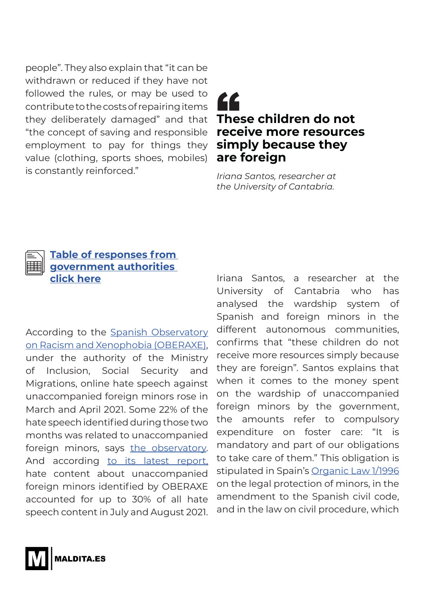people". They also explain that "it can be withdrawn or reduced if they have not followed the rules, or may be used to contribute to the costs of repairing items they deliberately damaged" and that "the concept of saving and responsible employment to pay for things they value (clothing, sports shoes, mobiles) is constantly reinforced."

### **These children do not receive more resources simply because they are foreign** EC<br>The<br>rece

*Iriana Santos, researcher at the University of Cantabria.*



#### **[Table of responses from](https://public.flourish.studio/visualisation/7227681/)  [government authorities](https://public.flourish.studio/visualisation/7227681/)  [click here](https://public.flourish.studio/visualisation/7227681/)**

According to the [Spanish Observatory](https://prensa.inclusion.gob.es/WebPrensaInclusion/noticias/inmigracionemigracion/detalle/4037)  [on Racism and Xenophobia \(OBERAXE\),](https://prensa.inclusion.gob.es/WebPrensaInclusion/noticias/inmigracionemigracion/detalle/4037) under the authority of the Ministry of Inclusion, Social Security and Migrations, online hate speech against unaccompanied foreign minors rose in March and April 2021. Some 22% of the hate speech identified during those two months was related to unaccompanied foreign minors, says [the observatory.](https://prensa.inclusion.gob.es/WebPrensaInclusion/noticias/inmigracionemigracion/detalle/4037) And according [to its latest report,](https://www.inclusion.gob.es/oberaxe/ficheros/ejes/discursoodio/Boletn-julio-agosto-2021.pdf) hate content about unaccompanied foreign minors identified by OBERAXE accounted for up to 30% of all hate speech content in July and August 2021.

Iriana Santos, a researcher at the University of Cantabria who has analysed the wardship system of Spanish and foreign minors in the different autonomous communities, confirms that "these children do not receive more resources simply because they are foreign". Santos explains that when it comes to the money spent on the wardship of unaccompanied foreign minors by the government, the amounts refer to compulsory expenditure on foster care: "It is mandatory and part of our obligations to take care of them." This obligation is stipulated in Spain's [Organic Law 1/1996](https://www.boe.es/buscar/act.php?id=BOE-A-1996-1069) on the legal protection of minors, in the amendment to the Spanish civil code, and in the law on civil procedure, which

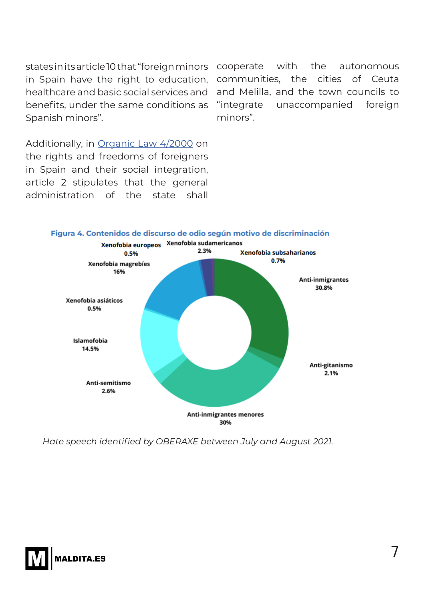healthcare and basic social services and benefits, under the same conditions as Spanish minors".

states in its article 10 that "foreign minors cooperate with the autonomous in Spain have the right to education, communities, the cities of Ceuta and Melilla, and the town councils to "integrate unaccompanied foreign minors".

Additionally, in [Organic Law 4/2000](https://www.boe.es/buscar/act.php?id=BOE-A-2000-544) on the rights and freedoms of foreigners in Spain and their social integration, article 2 stipulates that the general administration of the state shall



*Hate speech identified by OBERAXE between July and August 2021.*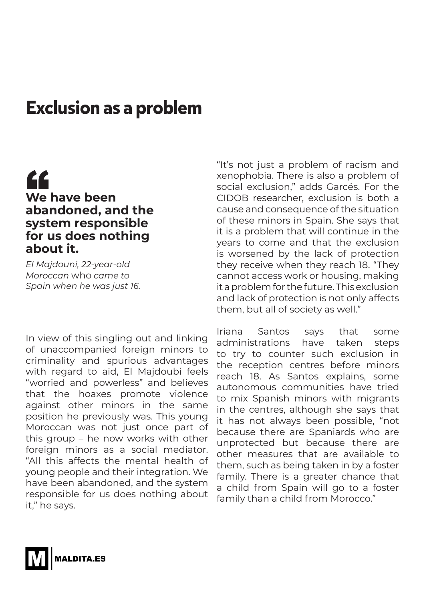### **Exclusion as a problem**

#### **We have been abandoned, and the system responsible for us does nothing about it.** "

*El Majdouni, 22-year-old Moroccan* who *came to Spain when he was just 16.*

In view of this singling out and linking of unaccompanied foreign minors to criminality and spurious advantages with regard to aid, El Majdoubi feels "worried and powerless" and believes that the hoaxes promote violence against other minors in the same position he previously was. This young Moroccan was not just once part of this group – he now works with other foreign minors as a social mediator. "All this affects the mental health of young people and their integration. We have been abandoned, and the system responsible for us does nothing about it," he says.

"It's not just a problem of racism and xenophobia. There is also a problem of social exclusion," adds Garcés. For the CIDOB researcher, exclusion is both a cause and consequence of the situation of these minors in Spain. She says that it is a problem that will continue in the years to come and that the exclusion is worsened by the lack of protection they receive when they reach 18. "They cannot access work or housing, making it a problem for the future. This exclusion and lack of protection is not only affects them, but all of society as well."

Iriana Santos says that some administrations have taken steps to try to counter such exclusion in the reception centres before minors reach 18. As Santos explains, some autonomous communities have tried to mix Spanish minors with migrants in the centres, although she says that it has not always been possible, "not because there are Spaniards who are unprotected but because there are other measures that are available to them, such as being taken in by a foster family. There is a greater chance that a child from Spain will go to a foster family than a child from Morocco."

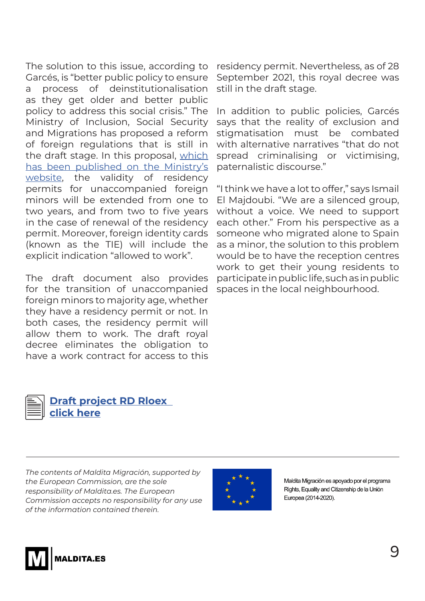The solution to this issue, according to Garcés, is "better public policy to ensure a process of deinstitutionalisation as they get older and better public policy to address this social crisis." The Ministry of Inclusion, Social Security and Migrations has proposed a reform of foreign regulations that is still in the draft stage. In this proposal, [which](https://www.inclusion.gob.es/participacion/downloadFile?blob=Proyecto_RD_RLOEX(ambito_MENAS_JENAS).docx&norma=2021006)  [has been published on the Ministry's](https://www.inclusion.gob.es/participacion/downloadFile?blob=Proyecto_RD_RLOEX(ambito_MENAS_JENAS).docx&norma=2021006)  [website,](https://www.inclusion.gob.es/participacion/downloadFile?blob=Proyecto_RD_RLOEX(ambito_MENAS_JENAS).docx&norma=2021006) the validity of residency permits for unaccompanied foreign minors will be extended from one to two years, and from two to five years in the case of renewal of the residency permit. Moreover, foreign identity cards (known as the TIE) will include the explicit indication "allowed to work".

The draft document also provides for the transition of unaccompanied foreign minors to majority age, whether they have a residency permit or not. In both cases, the residency permit will allow them to work. The draft royal decree eliminates the obligation to have a work contract for access to this

residency permit. Nevertheless, as of 28 September 2021, this royal decree was still in the draft stage.

In addition to public policies, Garcés says that the reality of exclusion and stigmatisation must be combated with alternative narratives "that do not spread criminalising or victimising, paternalistic discourse."

"I think we have a lot to offer," says Ismail El Majdoubi. "We are a silenced group, without a voice. We need to support each other." From his perspective as a someone who migrated alone to Spain as a minor, the solution to this problem would be to have the reception centres work to get their young residents to participate in public life, such as in public spaces in the local neighbourhood.



**Draft project [RD Rloex](https://es.scribd.com/document/527971908/Borrador-Proyecto-Rd-Rloex-Ambito-Menas-Jenas)  click here**

*The contents of Maldita Migración, supported by the European Commission, are the sole responsibility of Maldita.es. The European Commission accepts no responsibility for any use of the information contained therein.*



Maldita Migración es apoyado por el programa Rights. Equality and Citizenship de la Unión Europea (2014-2020).